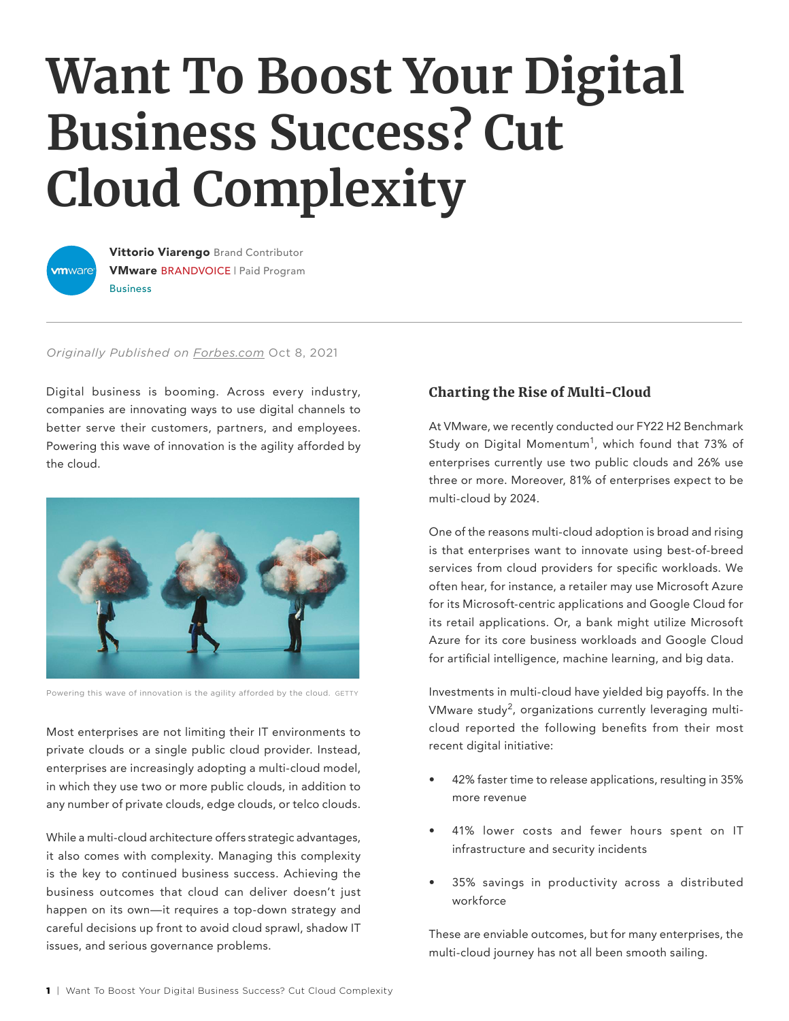# **Want To Boost Your Digital Business Success? Cut Cloud Complexity**



Vittorio Viarengo Brand Contributor VMware BRANDVOICE | Paid Program Business

#### *Originally Published on [Forbes.com](https://www.forbes.com/sites/vmware/2021/10/08/want-to-boost-your-digital-business-success-cut-cloud-complexity/?sh=7d54247371e9)* Oct 8, 2021

Digital business is booming. Across every industry, companies are innovating ways to use digital channels to better serve their customers, partners, and employees. Powering this wave of innovation is the agility afforded by the cloud.



Powering this wave of innovation is the agility afforded by the cloud. GETTY

Most enterprises are not limiting their IT environments to private clouds or a single public cloud provider. Instead, enterprises are increasingly adopting a multi-cloud model, in which they use two or more public clouds, in addition to any number of private clouds, edge clouds, or telco clouds.

While a multi-cloud architecture offers strategic advantages, it also comes with complexity. Managing this complexity is the key to continued business success. Achieving the business outcomes that cloud can deliver doesn't just happen on its own—it requires a top-down strategy and careful decisions up front to avoid cloud sprawl, shadow IT issues, and serious governance problems.

# Charting the Rise of Multi-Cloud

At VMware, we recently conducted our FY22 H2 Benchmark Study on Digital Momentum<sup>1</sup>, which found that 73% of enterprises currently use two public clouds and 26% use three or more. Moreover, 81% of enterprises expect to be multi-cloud by 2024.

One of the reasons multi-cloud adoption is broad and rising is that enterprises want to innovate using best-of-breed services from cloud providers for specific workloads. We often hear, for instance, a retailer may use Microsoft Azure for its Microsoft-centric applications and Google Cloud for its retail applications. Or, a bank might utilize Microsoft Azure for its core business workloads and Google Cloud for artificial intelligence, machine learning, and big data.

Investments in multi-cloud have yielded big payoffs. In the VMware study<sup>2</sup>, organizations currently leveraging multicloud reported the following benefits from their most recent digital initiative:

- 42% faster time to release applications, resulting in 35% more revenue
- 41% lower costs and fewer hours spent on IT infrastructure and security incidents
- 35% savings in productivity across a distributed workforce

These are enviable outcomes, but for many enterprises, the multi-cloud journey has not all been smooth sailing.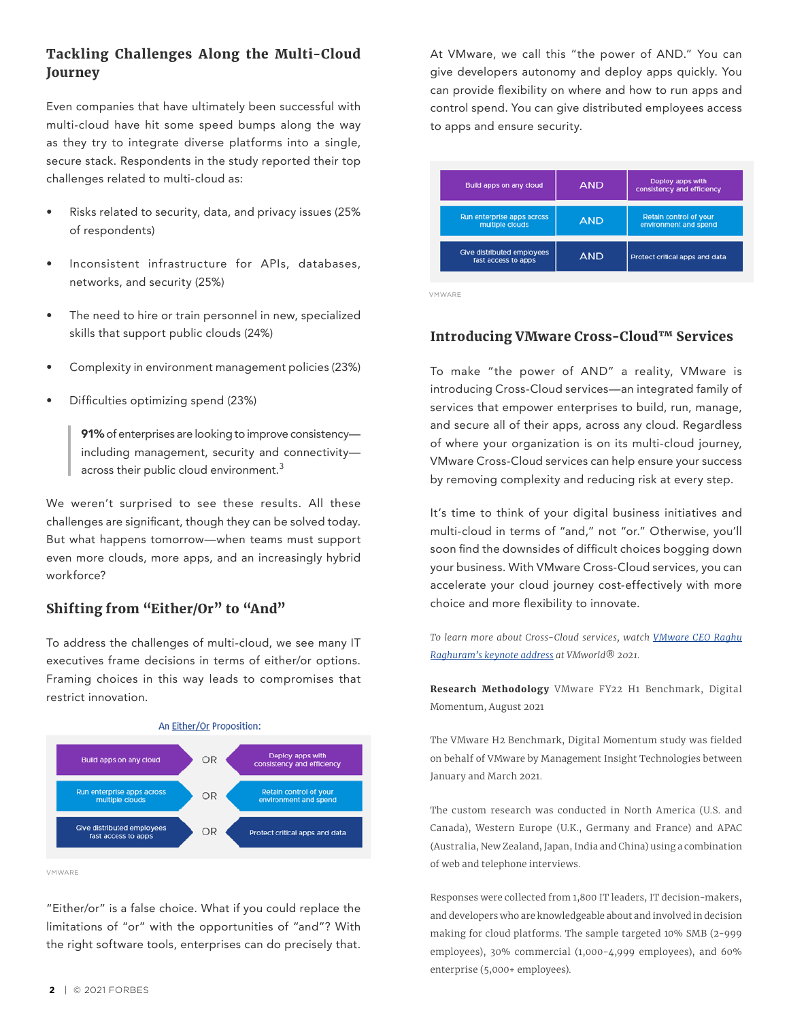## Tackling Challenges Along the Multi-Cloud Journey

Even companies that have ultimately been successful with multi-cloud have hit some speed bumps along the way as they try to integrate diverse platforms into a single, secure stack. Respondents in the study reported their top challenges related to multi-cloud as:

- Risks related to security, data, and privacy issues (25% of respondents)
- Inconsistent infrastructure for APIs, databases, networks, and security (25%)
- The need to hire or train personnel in new, specialized skills that support public clouds (24%)
- Complexity in environment management policies (23%)
- Difficulties optimizing spend (23%)

91% of enterprises are looking to improve consistencyincluding management, security and connectivity across their public cloud environment.<sup>3</sup>

We weren't surprised to see these results. All these challenges are significant, though they can be solved today. But what happens tomorrow—when teams must support even more clouds, more apps, and an increasingly hybrid workforce?

## Shifting from "Either/Or" to "And"

To address the challenges of multi-cloud, we see many IT executives frame decisions in terms of either/or options. Framing choices in this way leads to compromises that restrict innovation.



VMWARE

"Either/or" is a false choice. What if you could replace the limitations of "or" with the opportunities of "and"? With the right software tools, enterprises can do precisely that. At VMware, we call this "the power of AND." You can give developers autonomy and deploy apps quickly. You can provide flexibility on where and how to run apps and control spend. You can give distributed employees access to apps and ensure security.

| Build apps on any cloud                           | <b>AND</b> | Deploy apps with<br>consistency and efficiency  |
|---------------------------------------------------|------------|-------------------------------------------------|
| Run enterprise apps across<br>multiple clouds     | <b>AND</b> | Retain control of your<br>environment and spend |
| Give distributed employees<br>fast access to apps | <b>AND</b> | Protect critical apps and data                  |

VMWARE

### Introducing VMware Cross-Cloud™ Services

To make "the power of AND" a reality, VMware is introducing Cross-Cloud services—an integrated family of services that empower enterprises to build, run, manage, and secure all of their apps, across any cloud. Regardless of where your organization is on its multi-cloud journey, VMware Cross-Cloud services can help ensure your success by removing complexity and reducing risk at every step.

It's time to think of your digital business initiatives and multi-cloud in terms of "and," not "or." Otherwise, you'll soon find the downsides of difficult choices bogging down your business. With VMware Cross-Cloud services, you can accelerate your cloud journey cost-effectively with more choice and more flexibility to innovate.

*To learn more about Cross-Cloud services, watch [VMware CEO Raghu](https://www.vmware.com/)  [Raghuram's keynote address](https://www.vmware.com/) at VMworld® 2021.* 

Research Methodology VMware FY22 H1 Benchmark, Digital Momentum, August 2021

The VMware H2 Benchmark, Digital Momentum study was fielded on behalf of VMware by Management Insight Technologies between January and March 2021.

The custom research was conducted in North America (U.S. and Canada), Western Europe (U.K., Germany and France) and APAC (Australia, New Zealand, Japan, India and China) using a combination of web and telephone interviews.

Responses were collected from 1,800 IT leaders, IT decision-makers, and developers who are knowledgeable about and involved in decision making for cloud platforms. The sample targeted 10% SMB (2-999 employees), 30% commercial (1,000-4,999 employees), and 60% enterprise (5,000+ employees).